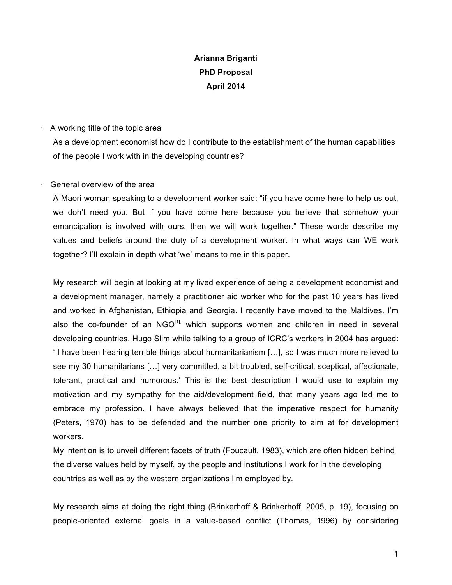# **Arianna Briganti PhD Proposal April 2014**

## · A working title of the topic area

As a development economist how do I contribute to the establishment of the human capabilities of the people I work with in the developing countries?

## · General overview of the area

A Maori woman speaking to a development worker said: "if you have come here to help us out, we don't need you. But if you have come here because you believe that somehow your emancipation is involved with ours, then we will work together." These words describe my values and beliefs around the duty of a development worker. In what ways can WE work together? I'll explain in depth what 'we' means to me in this paper.

 My research will begin at looking at my lived experience of being a development economist and a development manager, namely a practitioner aid worker who for the past 10 years has lived and worked in Afghanistan, Ethiopia and Georgia. I recently have moved to the Maldives. I'm also the co-founder of an  $NGO<sup>[1]</sup>$ , which supports women and children in need in several developing countries. Hugo Slim while talking to a group of ICRC's workers in 2004 has argued: ' I have been hearing terrible things about humanitarianism […], so I was much more relieved to see my 30 humanitarians […] very committed, a bit troubled, self-critical, sceptical, affectionate, tolerant, practical and humorous.' This is the best description I would use to explain my motivation and my sympathy for the aid/development field, that many years ago led me to embrace my profession. I have always believed that the imperative respect for humanity (Peters, 1970) has to be defended and the number one priority to aim at for development workers.

 My intention is to unveil different facets of truth (Foucault, 1983), which are often hidden behind the diverse values held by myself, by the people and institutions I work for in the developing countries as well as by the western organizations I'm employed by.

My research aims at doing the right thing (Brinkerhoff & Brinkerhoff, 2005, p. 19), focusing on people-oriented external goals in a value-based conflict (Thomas, 1996) by considering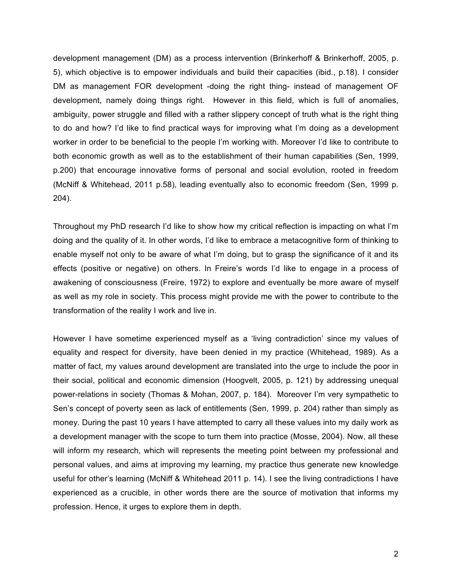development management (DM) as a process intervention (Brinkerhoff & Brinkerhoff, 2005, p. 5), which objective is to empower individuals and build their capacities (ibid., p.18). I consider DM as management FOR development -doing the right thing- instead of management OF development, namely doing things right. However in this field, which is full of anomalies, ambiguity, power struggle and filled with a rather slippery concept of truth what is the right thing to do and how? I'd like to find practical ways for improving what I'm doing as a development worker in order to be beneficial to the people I'm working with. Moreover I'd like to contribute to both economic growth as well as to the establishment of their human capabilities (Sen, 1999, p.200) that encourage innovative forms of personal and social evolution, rooted in freedom (McNiff & Whitehead, 2011 p.58), leading eventually also to economic freedom (Sen, 1999 p. 204).

Throughout my PhD research I'd like to show how my critical reflection is impacting on what I'm doing and the quality of it. In other words, I'd like to embrace a metacognitive form of thinking to enable myself not only to be aware of what I'm doing, but to grasp the significance of it and its effects (positive or negative) on others. In Freire's words I'd like to engage in a process of awakening of consciousness (Freire, 1972) to explore and eventually be more aware of myself as well as my role in society. This process might provide me with the power to contribute to the transformation of the reality I work and live in.

 However I have sometime experienced myself as a 'living contradiction' since my values of equality and respect for diversity, have been denied in my practice (Whitehead, 1989). As a matter of fact, my values around development are translated into the urge to include the poor in their social, political and economic dimension (Hoogvelt, 2005, p. 121) by addressing unequal power-relations in society (Thomas & Mohan, 2007, p. 184). Moreover I'm very sympathetic to Sen's concept of poverty seen as lack of entitlements (Sen, 1999, p. 204) rather than simply as money. During the past 10 years I have attempted to carry all these values into my daily work as a development manager with the scope to turn them into practice (Mosse, 2004). Now, all these will inform my research, which will represents the meeting point between my professional and personal values, and aims at improving my learning, my practice thus generate new knowledge useful for other's learning (McNiff & Whitehead 2011 p. 14). I see the living contradictions I have experienced as a crucible, in other words there are the source of motivation that informs my profession. Hence, it urges to explore them in depth.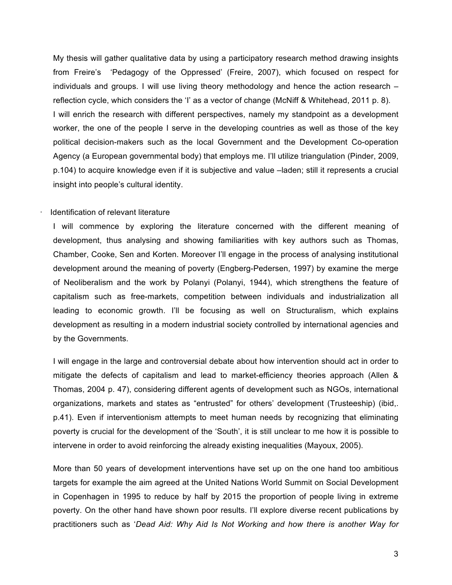My thesis will gather qualitative data by using a participatory research method drawing insights from Freire's 'Pedagogy of the Oppressed' (Freire, 2007), which focused on respect for individuals and groups. I will use living theory methodology and hence the action research – reflection cycle, which considers the 'I' as a vector of change (McNiff & Whitehead, 2011 p. 8). I will enrich the research with different perspectives, namely my standpoint as a development worker, the one of the people I serve in the developing countries as well as those of the key political decision-makers such as the local Government and the Development Co-operation Agency (a European governmental body) that employs me. I'll utilize triangulation (Pinder, 2009, p.104) to acquire knowledge even if it is subjective and value –laden; still it represents a crucial insight into people's cultural identity.

#### · Identification of relevant literature

I will commence by exploring the literature concerned with the different meaning of development, thus analysing and showing familiarities with key authors such as Thomas, Chamber, Cooke, Sen and Korten. Moreover I'll engage in the process of analysing institutional development around the meaning of poverty (Engberg-Pedersen, 1997) by examine the merge of Neoliberalism and the work by Polanyi (Polanyi, 1944), which strengthens the feature of capitalism such as free-markets, competition between individuals and industrialization all leading to economic growth. I'll be focusing as well on Structuralism, which explains development as resulting in a modern industrial society controlled by international agencies and by the Governments.

I will engage in the large and controversial debate about how intervention should act in order to mitigate the defects of capitalism and lead to market-efficiency theories approach (Allen & Thomas, 2004 p. 47), considering different agents of development such as NGOs, international organizations, markets and states as "entrusted" for others' development (Trusteeship) (ibid,. p.41). Even if interventionism attempts to meet human needs by recognizing that eliminating poverty is crucial for the development of the 'South', it is still unclear to me how it is possible to intervene in order to avoid reinforcing the already existing inequalities (Mayoux, 2005).

More than 50 years of development interventions have set up on the one hand too ambitious targets for example the aim agreed at the United Nations World Summit on Social Development in Copenhagen in 1995 to reduce by half by 2015 the proportion of people living in extreme poverty. On the other hand have shown poor results. I'll explore diverse recent publications by practitioners such as '*Dead Aid: Why Aid Is Not Working and how there is another Way for*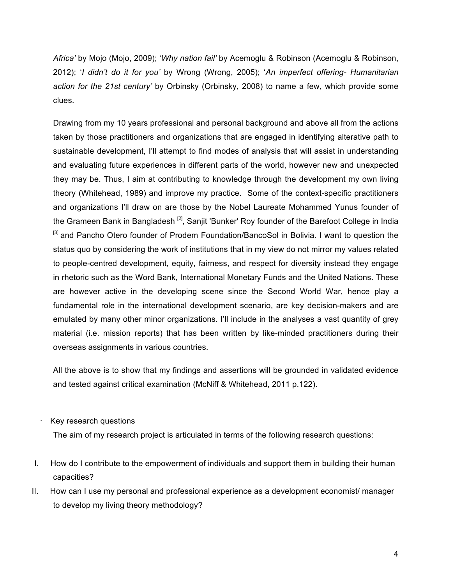*Africa'* by Mojo (Mojo, 2009); '*Why nation fail'* by Acemoglu & Robinson (Acemoglu & Robinson, 2012); '*I didn't do it for you'* by Wrong (Wrong, 2005); '*An imperfect offering- Humanitarian action for the 21st century'* by Orbinsky (Orbinsky, 2008) to name a few, which provide some clues.

Drawing from my 10 years professional and personal background and above all from the actions taken by those practitioners and organizations that are engaged in identifying alterative path to sustainable development, I'll attempt to find modes of analysis that will assist in understanding and evaluating future experiences in different parts of the world, however new and unexpected they may be. Thus, I aim at contributing to knowledge through the development my own living theory (Whitehead, 1989) and improve my practice. Some of the context-specific practitioners and organizations I'll draw on are those by the Nobel Laureate Mohammed Yunus founder of the Grameen Bank in Bangladesh<sup>[2]</sup>, Sanjit 'Bunker' Roy founder of the Barefoot College in India <sup>[3]</sup> and Pancho Otero founder of Prodem Foundation/BancoSol in Bolivia. I want to question the status quo by considering the work of institutions that in my view do not mirror my values related to people-centred development, equity, fairness, and respect for diversity instead they engage in rhetoric such as the Word Bank, International Monetary Funds and the United Nations. These are however active in the developing scene since the Second World War, hence play a fundamental role in the international development scenario, are key decision-makers and are emulated by many other minor organizations. I'll include in the analyses a vast quantity of grey material (i.e. mission reports) that has been written by like-minded practitioners during their overseas assignments in various countries.

All the above is to show that my findings and assertions will be grounded in validated evidence and tested against critical examination (McNiff & Whitehead, 2011 p.122).

· Key research questions

The aim of my research project is articulated in terms of the following research questions:

- I. How do I contribute to the empowerment of individuals and support them in building their human capacities?
- II. How can I use my personal and professional experience as a development economist/ manager to develop my living theory methodology?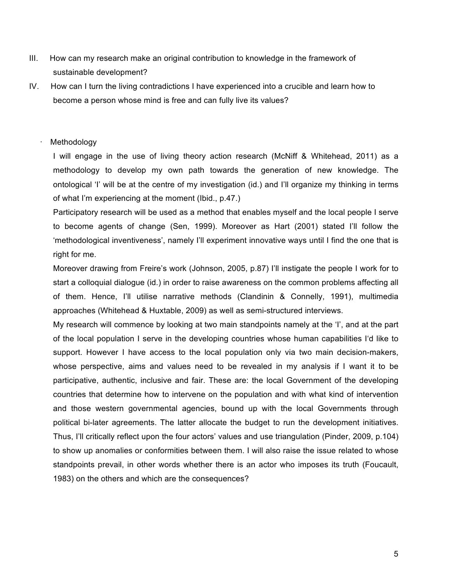- III. How can my research make an original contribution to knowledge in the framework of sustainable development?
- IV. How can I turn the living contradictions I have experienced into a crucible and learn how to become a person whose mind is free and can fully live its values?

## **Methodology**

I will engage in the use of living theory action research (McNiff & Whitehead, 2011) as a methodology to develop my own path towards the generation of new knowledge. The ontological 'I' will be at the centre of my investigation (id.) and I'll organize my thinking in terms of what I'm experiencing at the moment (Ibid., p.47.)

Participatory research will be used as a method that enables myself and the local people I serve to become agents of change (Sen, 1999). Moreover as Hart (2001) stated I'll follow the 'methodological inventiveness', namely I'll experiment innovative ways until I find the one that is right for me.

Moreover drawing from Freire's work (Johnson, 2005, p.87) I'll instigate the people I work for to start a colloquial dialogue (id.) in order to raise awareness on the common problems affecting all of them. Hence, I'll utilise narrative methods (Clandinin & Connelly, 1991), multimedia approaches (Whitehead & Huxtable, 2009) as well as semi-structured interviews.

My research will commence by looking at two main standpoints namely at the 'I', and at the part of the local population I serve in the developing countries whose human capabilities I'd like to support. However I have access to the local population only via two main decision-makers, whose perspective, aims and values need to be revealed in my analysis if I want it to be participative, authentic, inclusive and fair. These are: the local Government of the developing countries that determine how to intervene on the population and with what kind of intervention and those western governmental agencies, bound up with the local Governments through political bi-later agreements. The latter allocate the budget to run the development initiatives. Thus, I'll critically reflect upon the four actors' values and use triangulation (Pinder, 2009, p.104) to show up anomalies or conformities between them. I will also raise the issue related to whose standpoints prevail, in other words whether there is an actor who imposes its truth (Foucault, 1983) on the others and which are the consequences?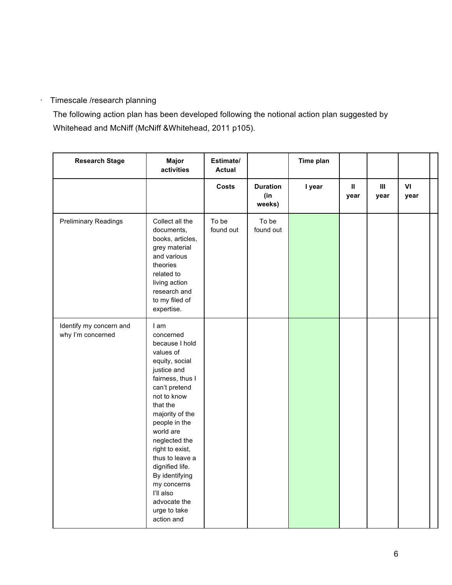## · Timescale /research planning

The following action plan has been developed following the notional action plan suggested by Whitehead and McNiff (McNiff &Whitehead, 2011 p105).

| <b>Research Stage</b>                        | Major<br>activities                                                                                                                                                                                                                                                                                                                                                      | Estimate/<br><b>Actual</b> |                                  | Time plan |                       |                        |            |  |
|----------------------------------------------|--------------------------------------------------------------------------------------------------------------------------------------------------------------------------------------------------------------------------------------------------------------------------------------------------------------------------------------------------------------------------|----------------------------|----------------------------------|-----------|-----------------------|------------------------|------------|--|
|                                              |                                                                                                                                                                                                                                                                                                                                                                          | Costs                      | <b>Duration</b><br>(in<br>weeks) | I year    | $\mathbf{II}$<br>year | $\mathbf{III}$<br>year | VI<br>year |  |
| <b>Preliminary Readings</b>                  | Collect all the<br>documents,<br>books, articles,<br>grey material<br>and various<br>theories<br>related to<br>living action<br>research and<br>to my filed of<br>expertise.                                                                                                                                                                                             | To be<br>found out         | To be<br>found out               |           |                       |                        |            |  |
| Identify my concern and<br>why I'm concerned | I am<br>concerned<br>because I hold<br>values of<br>equity, social<br>justice and<br>fairness, thus I<br>can't pretend<br>not to know<br>that the<br>majority of the<br>people in the<br>world are<br>neglected the<br>right to exist,<br>thus to leave a<br>dignified life.<br>By identifying<br>my concerns<br>l'Il also<br>advocate the<br>urge to take<br>action and |                            |                                  |           |                       |                        |            |  |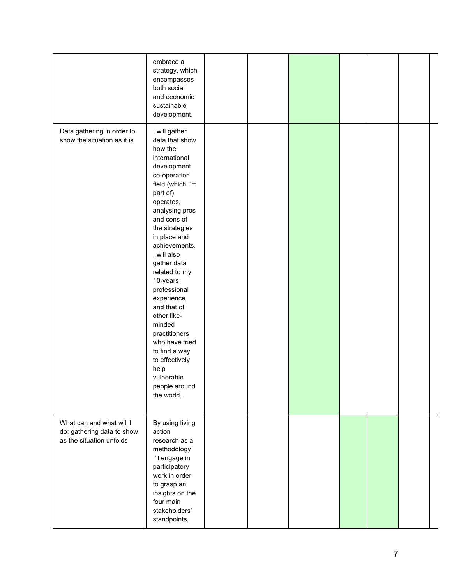|                                                                                    | embrace a<br>strategy, which<br>encompasses<br>both social<br>and economic<br>sustainable<br>development.                                                                                                                                                                                                                                                                                                                                                                               |  |  |  |  |
|------------------------------------------------------------------------------------|-----------------------------------------------------------------------------------------------------------------------------------------------------------------------------------------------------------------------------------------------------------------------------------------------------------------------------------------------------------------------------------------------------------------------------------------------------------------------------------------|--|--|--|--|
| Data gathering in order to<br>show the situation as it is                          | I will gather<br>data that show<br>how the<br>international<br>development<br>co-operation<br>field (which I'm<br>part of)<br>operates,<br>analysing pros<br>and cons of<br>the strategies<br>in place and<br>achievements.<br>I will also<br>gather data<br>related to my<br>10-years<br>professional<br>experience<br>and that of<br>other like-<br>minded<br>practitioners<br>who have tried<br>to find a way<br>to effectively<br>help<br>vulnerable<br>people around<br>the world. |  |  |  |  |
| What can and what will I<br>do; gathering data to show<br>as the situation unfolds | By using living<br>action<br>research as a<br>methodology<br>I'll engage in<br>participatory<br>work in order<br>to grasp an<br>insights on the<br>four main<br>stakeholders'<br>standpoints,                                                                                                                                                                                                                                                                                           |  |  |  |  |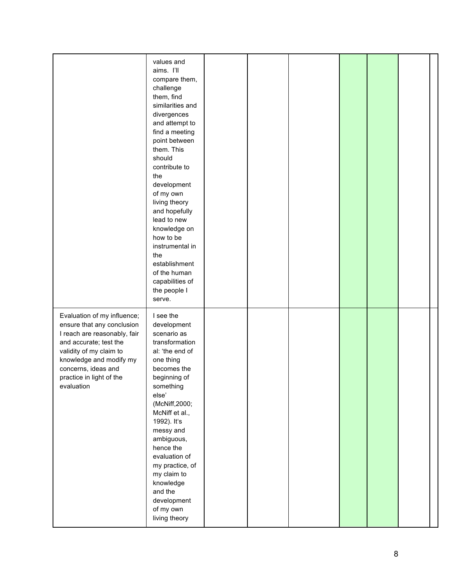|                                                                                                                                                                                                                                            | values and<br>aims. I'll<br>compare them,<br>challenge<br>them, find<br>similarities and<br>divergences<br>and attempt to<br>find a meeting<br>point between<br>them. This<br>should<br>contribute to<br>the<br>development<br>of my own<br>living theory<br>and hopefully<br>lead to new<br>knowledge on<br>how to be<br>instrumental in<br>the<br>establishment<br>of the human<br>capabilities of<br>the people I<br>serve. |  |  |  |
|--------------------------------------------------------------------------------------------------------------------------------------------------------------------------------------------------------------------------------------------|--------------------------------------------------------------------------------------------------------------------------------------------------------------------------------------------------------------------------------------------------------------------------------------------------------------------------------------------------------------------------------------------------------------------------------|--|--|--|
| Evaluation of my influence;<br>ensure that any conclusion<br>I reach are reasonably, fair<br>and accurate; test the<br>validity of my claim to<br>knowledge and modify my<br>concerns, ideas and<br>practice in light of the<br>evaluation | I see the<br>development<br>scenario as<br>transformation<br>al: 'the end of<br>one thing<br>becomes the<br>beginning of<br>something<br>else'<br>(McNiff, 2000;<br>McNiff et al.,<br>1992). It's<br>messy and<br>ambiguous,<br>hence the<br>evaluation of<br>my practice, of<br>my claim to<br>knowledge<br>and the<br>development<br>of my own<br>living theory                                                              |  |  |  |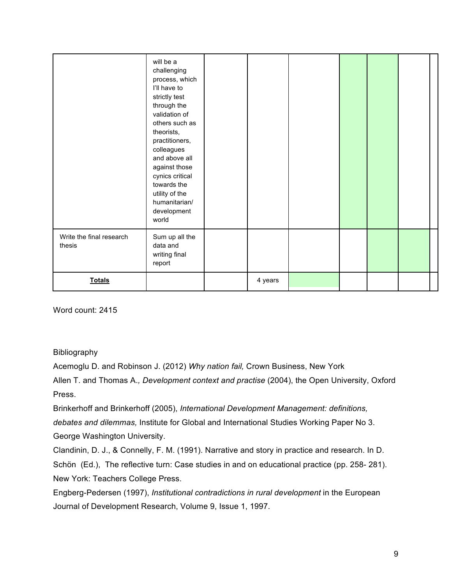|                                    | will be a<br>challenging<br>process, which<br>I'll have to<br>strictly test<br>through the<br>validation of<br>others such as<br>theorists,<br>practitioners,<br>colleagues<br>and above all<br>against those<br>cynics critical<br>towards the<br>utility of the<br>humanitarian/<br>development<br>world |         |  |  |  |
|------------------------------------|------------------------------------------------------------------------------------------------------------------------------------------------------------------------------------------------------------------------------------------------------------------------------------------------------------|---------|--|--|--|
| Write the final research<br>thesis | Sum up all the<br>data and<br>writing final<br>report                                                                                                                                                                                                                                                      |         |  |  |  |
| <b>Totals</b>                      |                                                                                                                                                                                                                                                                                                            | 4 years |  |  |  |

Word count: 2415

Bibliography

Acemoglu D. and Robinson J. (2012) *Why nation fail,* Crown Business, New York

Allen T. and Thomas A.*, Development context and practise* (2004), the Open University, Oxford Press.

Brinkerhoff and Brinkerhoff (2005), *International Development Management: definitions, debates and dilemmas,* Institute for Global and International Studies Working Paper No 3. George Washington University.

Clandinin, D. J., & Connelly, F. M. (1991). Narrative and story in practice and research. In D. Schön (Ed.), The reflective turn: Case studies in and on educational practice (pp. 258- 281). New York: Teachers College Press.

Engberg-Pedersen (1997), *Institutional contradictions in rural development* in the European Journal of Development Research, Volume 9, Issue 1, 1997.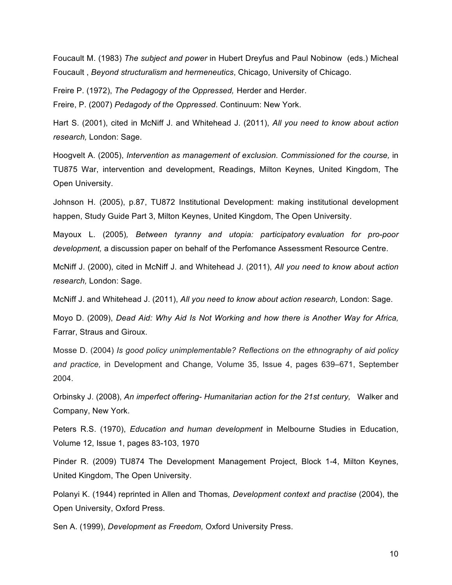Foucault M. (1983) *The subject and power* in Hubert Dreyfus and Paul Nobinow (eds.) Micheal Foucault , *Beyond structuralism and hermeneutics*, Chicago, University of Chicago.

Freire P. (1972), *The Pedagogy of the Oppressed,* Herder and Herder.

Freire, P. (2007) *Pedagody of the Oppressed*. Continuum: New York.

Hart S. (2001), cited in McNiff J. and Whitehead J. (2011), *All you need to know about action research,* London: Sage.

Hoogvelt A. (2005), *Intervention as management of exclusion. Commissioned for the course,* in TU875 War, intervention and development, Readings, Milton Keynes, United Kingdom, The Open University.

Johnson H. (2005), p.87, TU872 Institutional Development: making institutional development happen, Study Guide Part 3, Milton Keynes, United Kingdom, The Open University.

Mayoux L. (2005)*, Between tyranny and utopia: participatory evaluation for pro-poor development,* a discussion paper on behalf of the Perfomance Assessment Resource Centre.

McNiff J. (2000), cited in McNiff J. and Whitehead J. (2011), *All you need to know about action research,* London: Sage.

McNiff J. and Whitehead J. (2011), *All you need to know about action research,* London: Sage.

Moyo D. (2009), *Dead Aid: Why Aid Is Not Working and how there is Another Way for Africa,*  Farrar, Straus and Giroux.

Mosse D. (2004) *Is good policy unimplementable? Reflections on the ethnography of aid policy and practice,* in Development and Change*,* Volume 35, Issue 4, pages 639–671, September 2004.

Orbinsky J. (2008), *An imperfect offering- Humanitarian action for the 21st century,* Walker and Company, New York.

Peters R.S. (1970), *Education and human development* in Melbourne Studies in Education, Volume 12, Issue 1, pages 83-103, 1970

Pinder R. (2009) TU874 The Development Management Project, Block 1-4, Milton Keynes, United Kingdom, The Open University.

Polanyi K. (1944) reprinted in Allen and Thomas*, Development context and practise* (2004), the Open University, Oxford Press.

Sen A. (1999), *Development as Freedom,* Oxford University Press.